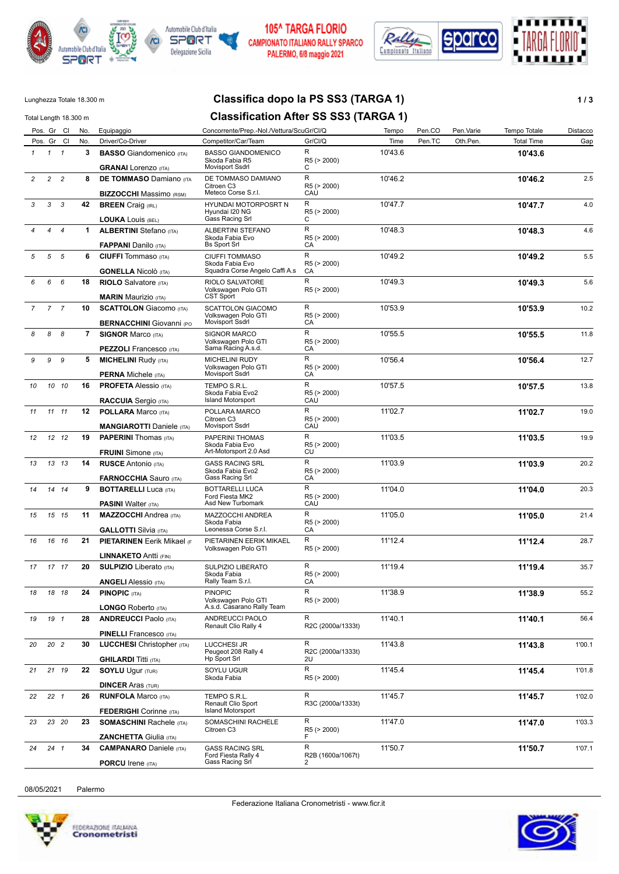



## 105^ TARGA FLORIO CAMPIONATO ITALIANO RALLY SPARCO PALERMO, 6/8 maggio 2021



# Lunghezza Totale 18.300 m **Classifica dopo la PS SS3 (TARGA 1) 1/3**

| <b>Classification After SS SS3 (TARGA 1)</b><br>Total Length 18.300 m |                |                |                |                                                                  |                                                                |                              |         |        |           |                   |          |
|-----------------------------------------------------------------------|----------------|----------------|----------------|------------------------------------------------------------------|----------------------------------------------------------------|------------------------------|---------|--------|-----------|-------------------|----------|
|                                                                       |                | Pos. Gr Cl     | No.            | Equipaggio                                                       | Concorrente/Prep.-Nol./Vettura/ScuGr/Cl/Q                      |                              | Tempo   | Pen.CO | Pen.Varie | Tempo Totale      | Distacco |
|                                                                       |                | Pos. Gr Cl     | No.            | Driver/Co-Driver                                                 | Competitor/Car/Team                                            | Gr/Cl/Q                      | Time    | Pen.TC | Oth.Pen.  | <b>Total Time</b> | Gap      |
| $\mathbf{1}$                                                          | $1 \quad 1$    |                | 3              | <b>BASSO</b> Giandomenico (ITA)<br><b>GRANAI</b> Lorenzo (ITA)   | <b>BASSO GIANDOMENICO</b><br>Skoda Fabia R5<br>Movisport Ssdrl | R<br>R5 (> 2000)<br>С        | 10'43.6 |        |           | 10'43.6           |          |
| $\overline{c}$                                                        | $\overline{c}$ | $\overline{c}$ | 8              | <b>DE TOMMASO Damiano (ITA</b>                                   | DE TOMMASO DAMIANO<br>Citroen C3                               | R<br>R5 (> 2000)             | 10'46.2 |        |           | 10'46.2           | 2.5      |
|                                                                       |                |                |                | <b>BIZZOCCHI</b> Massimo (RSM)                                   | Meteco Corse S.r.l.                                            | CAU                          |         |        |           |                   |          |
| 3                                                                     | 3              | 3              | 42             | <b>BREEN</b> Craig (IRL)<br><b>LOUKA LOUIS (BEL)</b>             | HYUNDAI MOTORPOSRT N<br>Hyundai I20 NG<br>Gass Racing Srl      | R<br>R5 (> 2000)<br>C        | 10'47.7 |        |           | 10'47.7           | 4.0      |
|                                                                       | 4              | $\overline{4}$ | $\mathbf 1$    | <b>ALBERTINI</b> Stefano (ITA)<br><b>FAPPANI</b> Danilo (ITA)    | ALBERTINI STEFANO<br>Skoda Fabia Evo<br><b>Bs Sport Srl</b>    | R<br>R5 (> 2000)<br>CA       | 10'48.3 |        |           | 10'48.3           | 4.6      |
| 5                                                                     | 5              | 5              | 6              | <b>CIUFFI</b> Tommaso (ITA)                                      | <b>CIUFFI TOMMASO</b><br>Skoda Fabia Evo                       | R<br>R5 (> 2000)             | 10'49.2 |        |           | 10'49.2           | 5.5      |
|                                                                       |                |                |                | <b>GONELLA Nicolò</b> (ITA)                                      | Squadra Corse Angelo Caffi A.s                                 | CA                           |         |        |           |                   |          |
| 6                                                                     | 6              | 6              | 18             | <b>RIOLO</b> Salvatore (ITA)<br><b>MARIN</b> Maurizio (ITA)      | RIOLO SALVATORE<br>Volkswagen Polo GTI<br>CST Sport            | R<br>R5 (> 2000)             | 10'49.3 |        |           | 10'49.3           | 5.6      |
| $\overline{7}$                                                        |                | 7 <sub>7</sub> | 10             | <b>SCATTOLON</b> Giacomo (ITA)                                   | SCATTOLON GIACOMO<br>Volkswagen Polo GTI                       | R<br>R5 (> 2000)             | 10'53.9 |        |           | 10'53.9           | 10.2     |
|                                                                       |                |                |                | <b>BERNACCHINI Giovanni (PO</b>                                  | <b>Movisport Ssdrl</b>                                         | CA                           |         |        |           |                   |          |
| 8                                                                     | 8              | 8              | $\overline{7}$ | <b>SIGNOR Marco (ITA)</b>                                        | <b>SIGNOR MARCO</b><br>Volkswagen Polo GTI                     | R<br>R5 (> 2000)             | 10'55.5 |        |           | 10'55.5           | 11.8     |
|                                                                       |                |                |                | <b>PEZZOLI</b> Francesco (ITA)                                   | Sama Racing A.s.d.                                             | CA                           |         |        |           |                   |          |
| 9                                                                     | 9              | 9              | 5              | <b>MICHELINI Rudy (ITA)</b>                                      | <b>MICHELINI RUDY</b><br>Volkswagen Polo GTI                   | R<br>R5 (> 2000)             | 10'56.4 |        |           | 10'56.4           | 12.7     |
|                                                                       |                |                |                | <b>PERNA</b> Michele (ITA)                                       | Movisport Ssdrl                                                | CA                           |         |        |           |                   |          |
| 10                                                                    |                | 10 10          | 16             | <b>PROFETA Alessio (ITA)</b><br><b>RACCUIA</b> Sergio (ITA)      | TEMPO S.R.L.<br>Skoda Fabia Evo2<br><b>Island Motorsport</b>   | R<br>R5 (> 2000)<br>CAU      | 10'57.5 |        |           | 10'57.5           | 13.8     |
|                                                                       |                |                |                |                                                                  |                                                                | R                            |         |        |           |                   |          |
| 11                                                                    |                | 11 11          | 12             | <b>POLLARA Marco (ITA)</b><br><b>MANGIAROTTI Daniele (ITA)</b>   | POLLARA MARCO<br>Citroen C3<br>Movisport Ssdrl                 | R5 (> 2000)<br>CAU           | 11'02.7 |        |           | 11'02.7           | 19.0     |
| 12                                                                    |                | 12 12          | 19             |                                                                  | PAPERINI THOMAS                                                | R                            | 11'03.5 |        |           |                   | 19.9     |
|                                                                       |                |                |                | <b>PAPERINI</b> Thomas (ITA)                                     | Skoda Fabia Evo<br>Art-Motorsport 2.0 Asd                      | R5 (> 2000)<br>CU            |         |        |           | 11'03.5           |          |
|                                                                       |                |                |                | <b>FRUINI</b> Simone (ITA)                                       |                                                                | R                            |         |        |           |                   |          |
| 13                                                                    |                | 13 13          | 14             | <b>RUSCE Antonio (ITA)</b><br><b>FARNOCCHIA</b> Sauro (ITA)      | <b>GASS RACING SRL</b><br>Skoda Fabia Evo2<br>Gass Racing Srl  | R5 (> 2000)<br>CA            | 11'03.9 |        |           | 11'03.9           | 20.2     |
| 14                                                                    |                | 14 14          | 9              | <b>BOTTARELLI Luca (ITA)</b>                                     | <b>BOTTARELLI LUCA</b>                                         | R                            | 11'04.0 |        |           | 11'04.0           | 20.3     |
|                                                                       |                |                |                | <b>PASINI Walter (ITA)</b>                                       | Ford Fiesta MK2<br>Asd New Turbomark                           | R5 (> 2000)<br>CAU           |         |        |           |                   |          |
| 15                                                                    |                | 15 15          | 11             | <b>MAZZOCCHI</b> Andrea (ITA)                                    | MAZZOCCHI ANDREA                                               | R                            | 11'05.0 |        |           | 11'05.0           | 21.4     |
|                                                                       |                |                |                | <b>GALLOTTI</b> Silvia (ITA)                                     | Skoda Fabia<br>Leonessa Corse S.r.I.                           | R5 (> 2000)<br>CA            |         |        |           |                   |          |
| 16                                                                    |                | 16 16          | 21             | <b>PIETARINEN Eerik Mikael (F</b>                                | PIETARINEN EERIK MIKAEL                                        | R.                           | 11'12.4 |        |           | 11'12.4           | 28.7     |
|                                                                       |                |                |                | <b>LINNAKETO Antti (FIN)</b>                                     | Volkswagen Polo GTI                                            | R5 (> 2000)                  |         |        |           |                   |          |
| 17                                                                    |                | 17 17          | 20             | <b>SULPIZIO</b> Liberato (ITA)                                   | SULPIZIO LIBERATO                                              | R                            | 11'19.4 |        |           | 11'19.4           | 35.7     |
|                                                                       |                |                |                | <b>ANGELI</b> Alessio (ITA)                                      | Skoda Fabia<br>Rally Team S.r.l.                               | R5 (> 2000)<br>CA            |         |        |           |                   |          |
| 18                                                                    |                | 18 18          | 24             | <b>PINOPIC (ITA)</b>                                             | <b>PINOPIC</b>                                                 | R                            | 11'38.9 |        |           | 11'38.9           | 55.2     |
|                                                                       |                |                |                |                                                                  | Volkswagen Polo GTI                                            | R5 (> 2000)                  |         |        |           |                   |          |
|                                                                       |                |                |                | LONGO Roberto (ITA)                                              | A.s.d. Casarano Rally Team                                     |                              |         |        |           |                   |          |
| 19                                                                    |                | 19 1           | 28             | <b>ANDREUCCI Paolo (ITA)</b>                                     | ANDREUCCI PAOLO<br>Renault Clio Rally 4                        | R<br>R2C (2000a/1333t)       | 11'40.1 |        |           | 11'40.1           | 56.4     |
|                                                                       |                |                |                | <b>PINELLI</b> Francesco (ITA)                                   |                                                                |                              |         |        |           |                   |          |
| 20                                                                    |                | 20 2           | 30             | <b>LUCCHESI</b> Christopher (ITA)<br><b>GHILARDI</b> Titti (ITA) | LUCCHESI JR<br>Peugeot 208 Rally 4<br><b>Hp Sport Srl</b>      | R<br>R2C (2000a/1333t)<br>2U | 11'43.8 |        |           | 11'43.8           | 1'00.1   |
| 21                                                                    |                | 21 19          | 22             |                                                                  | SOYLU UGUR                                                     | R                            | 11'45.4 |        |           | 11'45.4           | 1'01.8   |
|                                                                       |                |                |                | <b>SOYLU Ugur (TUR)</b><br><b>DINCER Aras (TUR)</b>              | Skoda Fabia                                                    | R5 (> 2000)                  |         |        |           |                   |          |
| 22                                                                    |                | $22 \quad 1$   | 26             | <b>RUNFOLA Marco (ITA)</b>                                       | TEMPO S.R.L.                                                   | R                            | 11'45.7 |        |           | 11'45.7           | 1'02.0   |
|                                                                       |                |                |                | <b>FEDERIGHI</b> Corinne (ITA)                                   | Renault Clio Sport<br><b>Island Motorsport</b>                 | R3C (2000a/1333t)            |         |        |           |                   |          |
| 23                                                                    |                | 23 20          | 23             | <b>SOMASCHINI Rachele (ITA)</b>                                  | SOMASCHINI RACHELE                                             | R                            | 11'47.0 |        |           | 11'47.0           | 1'03.3   |
|                                                                       |                |                |                | <b>ZANCHETTA Giulia (ITA)</b>                                    | Citroen C3                                                     | R5 (> 2000)<br>F             |         |        |           |                   |          |
| 24                                                                    |                | $24$ 1         | 34             | <b>CAMPANARO</b> Daniele (ITA)                                   | <b>GASS RACING SRL</b>                                         | R                            | 11'50.7 |        |           | 11'50.7           | 1'07.1   |
|                                                                       |                |                |                | <b>PORCU</b> Irene (ITA)                                         | Ford Fiesta Rally 4<br>Gass Racing Srl                         | R2B (1600a/1067t)            |         |        |           |                   |          |

08/05/2021 Palermo



**PORCU** Irene (ITA)

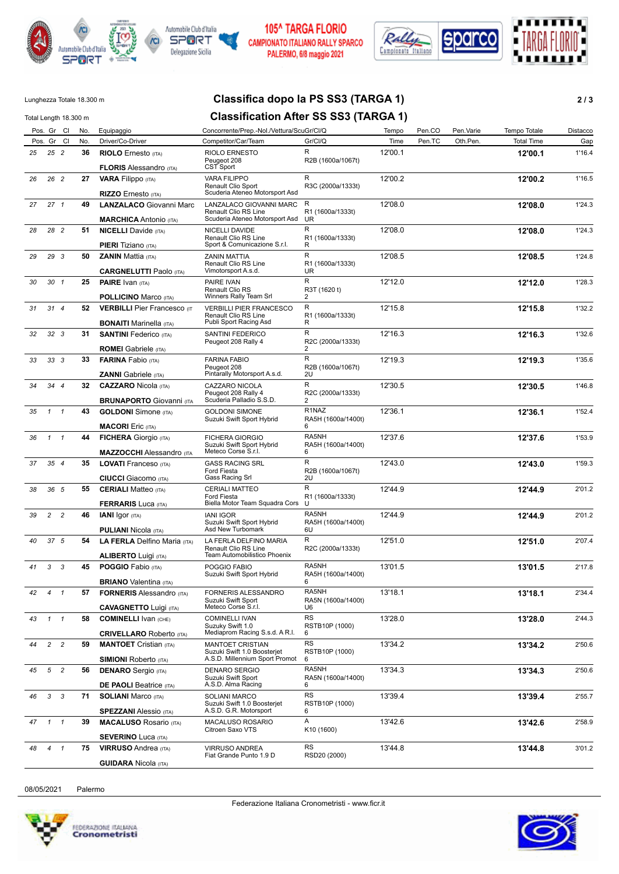



## 105^ TARGA FLORIO CAMPIONATO ITALIANO RALLY SPARCO PALERMO, 6/8 maggio 2021



## Lunghezza Totale 18.300 m **Classifica dopo la PS SS3 (TARGA 1) 2 / 3**

# Total Length 18.300 m **Classification After SS SS3 (TARGA 1)**

|    |                 | Total Length 18.300 m |     |                                                                      | Classification After 33 333 (TANGA T)                                                    |                                        |         |        |           |                   |          |
|----|-----------------|-----------------------|-----|----------------------------------------------------------------------|------------------------------------------------------------------------------------------|----------------------------------------|---------|--------|-----------|-------------------|----------|
|    | Pos. Gr Cl      |                       | No. | Equipaggio                                                           | Concorrente/Prep.-Nol./Vettura/ScuGr/Cl/Q                                                |                                        | Tempo   | Pen.CO | Pen.Varie | Tempo Totale      | Distacco |
|    | Pos. Gr Cl      |                       | No. | Driver/Co-Driver                                                     | Competitor/Car/Team                                                                      | Gr/Cl/Q                                | Time    | Pen.TC | Oth.Pen.  | <b>Total Time</b> | Gap      |
| 25 | $25$ 2          |                       | 36  | <b>RIOLO</b> Ernesto (ITA)<br><b>FLORIS</b> Alessandro (ITA)         | <b>RIOLO ERNESTO</b><br>Peugeot 208<br>CST Sport                                         | R<br>R2B (1600a/1067t)                 | 12'00.1 |        |           | 12'00.1           | 1'16.4   |
| 26 | 26 2            |                       | 27  | <b>VARA Filippo</b> (ITA)                                            | <b>VARA FILIPPO</b><br>Renault Clio Sport                                                | R<br>R3C (2000a/1333t)                 | 12'00.2 |        |           | 12'00.2           | 1'16.5   |
|    |                 |                       |     | <b>RIZZO</b> Ernesto (ITA)                                           | Scuderia Ateneo Motorsport Asd                                                           |                                        |         |        |           |                   |          |
| 27 | 27 <sub>1</sub> |                       | 49  | <b>LANZALACO Giovanni Marc</b><br><b>MARCHICA</b> Antonio (ITA)      | LANZALACO GIOVANNI MARC<br><b>Renault Clio RS Line</b><br>Scuderia Ateneo Motorsport Asd | R<br>R1 (1600a/1333t)<br>UR            | 12'08.0 |        |           | 12'08.0           | 1'24.3   |
| 28 | 28 2            |                       | 51  | <b>NICELLI</b> Davide (ITA)                                          | NICELLI DAVIDE<br>Renault Clio RS Line                                                   | R<br>R1 (1600a/1333t)                  | 12'08.0 |        |           | 12'08.0           | 1'24.3   |
|    |                 |                       |     | PIERI Tiziano (ITA)                                                  | Sport & Comunicazione S.r.l.<br><b>ZANIN MATTIA</b>                                      | R<br>R                                 | 12'08.5 |        |           |                   |          |
| 29 | 29 3            |                       | 50  | <b>ZANIN Mattia (ITA)</b><br><b>CARGNELUTTI Paolo (ITA)</b>          | Renault Clio RS Line<br>Vimotorsport A.s.d.                                              | R1 (1600a/1333t)<br>UR                 |         |        |           | 12'08.5           | 1'24.8   |
| 30 | $30 \t1$        |                       | 25  | <b>PAIRE</b> Ivan (ITA)                                              | PAIRE IVAN<br>Renault Clio RS<br>Winners Rally Team Srl                                  | R<br>R3T (1620 t)                      | 12'12.0 |        |           | 12'12.0           | 1'28.3   |
|    |                 |                       |     | <b>POLLICINO Marco (ITA)</b>                                         |                                                                                          | 2<br>R                                 |         |        |           |                   |          |
| 31 | 314             |                       | 52  | <b>VERBILLI</b> Pier Francesco (IT<br><b>BONAITI</b> Marinella (ITA) | <b>VERBILLI PIER FRANCESCO</b><br>Renault Clio RS Line<br>Publi Sport Racing Asd         | R1 (1600a/1333t)<br>R                  | 12'15.8 |        |           | 12'15.8           | 1'32.2   |
| 32 | 32 <sup>3</sup> |                       | 31  | <b>SANTINI</b> Federico (ITA)                                        | SANTINI FEDERICO<br>Peugeot 208 Rally 4                                                  | $\mathsf{R}$<br>R2C (2000a/1333t)      | 12'16.3 |        |           | 12'16.3           | 1'32.6   |
| 33 | 33 <sub>3</sub> |                       | 33  | <b>ROMEI</b> Gabriele (ITA)<br><b>FARINA Fabio (ITA)</b>             | <b>FARINA FABIO</b><br>Peugeot 208                                                       | 2<br>$\mathsf{R}$<br>R2B (1600a/1067t) | 12'19.3 |        |           | 12'19.3           | 1'35.6   |
|    |                 |                       |     | <b>ZANNI</b> Gabriele (ITA)                                          | Pintarally Motorsport A.s.d.                                                             | 2U                                     |         |        |           |                   |          |
| 34 | 3444            |                       | 32  | <b>CAZZARO Nicola (ITA)</b><br><b>BRUNAPORTO</b> Giovanni (ITA       | CAZZARO NICOLA<br>Peugeot 208 Rally 4<br>Scuderia Palladio S.S.D.                        | R<br>R2C (2000a/1333t)<br>2            | 12'30.5 |        |           | 12'30.5           | 1'46.8   |
| 35 | $\mathcal{I}$   | $\mathbf{1}$          | 43  | <b>GOLDONI</b> Simone (ITA)                                          | <b>GOLDONI SIMONE</b><br>Suzuki Swift Sport Hybrid                                       | R1NAZ<br>RA5H (1600a/1400t)            | 12'36.1 |        |           | 12'36.1           | 1'52.4   |
|    |                 |                       |     | <b>MACORI</b> Eric (ITA)                                             |                                                                                          | 6                                      |         |        |           |                   |          |
| 36 | $1 \quad 1$     |                       | 44  | <b>FICHERA</b> Giorgio (ITA)<br><b>MAZZOCCHI</b> Alessandro (ITA     | <b>FICHERA GIORGIO</b><br>Suzuki Swift Sport Hybrid<br>Meteco Corse S.r.l.               | RA5NH<br>RA5H (1600a/1400t)<br>6       | 12'37.6 |        |           | 12'37.6           | 1'53.9   |
| 37 | 354             |                       | 35  | <b>LOVATI</b> Franceso (ITA)                                         | <b>GASS RACING SRL</b><br>Ford Fiesta                                                    | R<br>R2B (1600a/1067t)                 | 12'43.0 |        |           | 12'43.0           | 1'59.3   |
|    |                 |                       |     | <b>CIUCCI</b> Giacomo (ITA)                                          | Gass Racing Srl                                                                          | 2U<br>$\mathsf{R}$                     | 12'44.9 |        |           |                   |          |
| 38 | 36 5            |                       | 55  | <b>CERIALI</b> Matteo (ITA)<br><b>FERRARIS Luca (ITA)</b>            | <b>CERIALI MATTEO</b><br>Ford Fiesta<br>Biella Motor Team Squadra Cors                   | R1 (1600a/1333t)<br>U                  |         |        |           | 12'44.9           | 2'01.2   |
| 39 | $\overline{c}$  | $\overline{c}$        | 46  | <b>IANI</b> Igor (ITA)                                               | <b>IANI IGOR</b>                                                                         | RA5NH                                  | 12'44.9 |        |           | 12'44.9           | 2'01.2   |
|    |                 |                       |     | <b>PULIANI Nicola (ITA)</b>                                          | Suzuki Swift Sport Hybrid<br>Asd New Turbomark                                           | RA5H (1600a/1400t)<br>6U               |         |        |           |                   |          |
| 40 | 37 5            |                       | 54  | LA FERLA Delfino Maria (ITA)                                         | LA FERLA DELFINO MARIA<br>Renault Clio RS Line                                           | R<br>R2C (2000a/1333t)                 | 12'51.0 |        |           | 12'51.0           | 2'07.4   |
|    |                 |                       |     | <b>ALIBERTO Luigi (ITA)</b>                                          | Team Automobilistico Phoenix                                                             | RA5NH                                  |         |        |           |                   |          |
| 41 | 3               | 3                     | 45  | <b>POGGIO</b> Fabio (ITA)<br><b>BRIANO</b> Valentina (ITA)           | POGGIO FABIO<br>Suzuki Swift Sport Hybrid                                                | RA5H (1600a/1400t)<br>6                | 13'01.5 |        |           | 13'01.5           | 2'17.8   |
| 42 | $4 \quad 1$     |                       | 57  | <b>FORNERIS Alessandro (ITA)</b>                                     | FORNERIS ALESSANDRO<br>Suzuki Swift Sport<br>Meteco Corse S.r.l.                         | RA5NH<br>RA5N (1600a/1400t)            | 13'18.1 |        |           | 13'18.1           | 2'34.4   |
| 43 | $1 \quad 1$     |                       | 58  | <b>CAVAGNETTO Luigi (ITA)</b><br><b>COMINELLI</b> Ivan (CHE)         | <b>COMINELLI IVAN</b>                                                                    | U6<br><b>RS</b>                        | 13'28.0 |        |           | 13'28.0           | 2'44.3   |
|    |                 |                       |     | <b>CRIVELLARO</b> Roberto (ITA)                                      | Suzuky Swift 1.0<br>Mediaprom Racing S.s.d. A R.I.                                       | RSTB10P (1000)<br>6                    |         |        |           |                   |          |
| 44 | $2^{\circ}$     | $\overline{c}$        | 59  | <b>MANTOET</b> Cristian (ITA)                                        | <b>MANTOET CRISTIAN</b><br>Suzuki Swift 1.0 Boosterjet                                   | <b>RS</b><br>RSTB10P (1000)            | 13'34.2 |        |           | 13'34.2           | 2'50.6   |
|    |                 |                       |     | <b>SIMIONI</b> Roberto (ITA)                                         | A.S.D. Millennium Sport Promot                                                           | 6<br>RA5NH                             |         |        |           |                   |          |
| 45 | 5               | $\overline{c}$        | 56  | <b>DENARO</b> Sergio (ITA)<br><b>DE PAOLI</b> Beatrice (ITA)         | <b>DENARO SERGIO</b><br>Suzuki Swift Sport<br>A.S.D. Alma Racing                         | RA5N (1600a/1400t)<br>6                | 13'34.3 |        |           | 13'34.3           | 2'50.6   |
| 46 | 3               | 3                     | 71  | <b>SOLIANI Marco (ITA)</b>                                           | <b>SOLIANI MARCO</b><br>Suzuki Swift 1.0 Boosterjet                                      | <b>RS</b><br>RSTB10P (1000)            | 13'39.4 |        |           | 13'39.4           | 2'55.7   |
|    |                 |                       |     | <b>SPEZZANI</b> Alessio (ITA)                                        | A.S.D. G.R. Motorsport                                                                   | 6<br>Α                                 |         |        |           |                   |          |
| 47 | $\mathcal{I}$   | $\mathbf{1}$          | 39  | <b>MACALUSO Rosario (ITA)</b><br><b>SEVERINO Luca (ITA)</b>          | MACALUSO ROSARIO<br>Citroen Saxo VTS                                                     | K10 (1600)                             | 13'42.6 |        |           | 13'42.6           | 2'58.9   |
| 48 | 4               | $\mathbf{1}$          | 75  | <b>VIRRUSO</b> Andrea (ITA)                                          | <b>VIRRUSO ANDREA</b>                                                                    | <b>RS</b>                              | 13'44.8 |        |           | 13'44.8           | 3'01.2   |
|    |                 |                       |     | <b>GUIDARA</b> Nicola (ITA)                                          | Fiat Grande Punto 1.9 D                                                                  | RSD20 (2000)                           |         |        |           |                   |          |

08/05/2021 Palermo